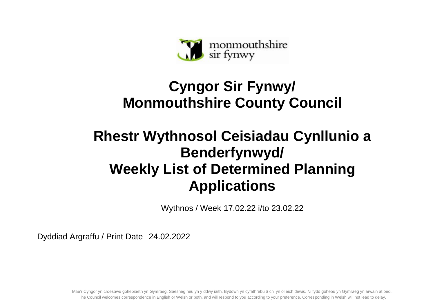

## **Cyngor Sir Fynwy/ Monmouthshire County Council**

## **Rhestr Wythnosol Ceisiadau Cynllunio a Benderfynwyd/ Weekly List of Determined Planning Applications**

Wythnos / Week 17.02.22 i/to 23.02.22

Dyddiad Argraffu / Print Date 24.02.2022

Mae'r Cyngor yn croesawu gohebiaeth yn Gymraeg, Saesneg neu yn y ddwy iaith. Byddwn yn cyfathrebu â chi yn ôl eich dewis. Ni fydd gohebu yn Gymraeg yn arwain at oedi. The Council welcomes correspondence in English or Welsh or both, and will respond to you according to your preference. Corresponding in Welsh will not lead to delay.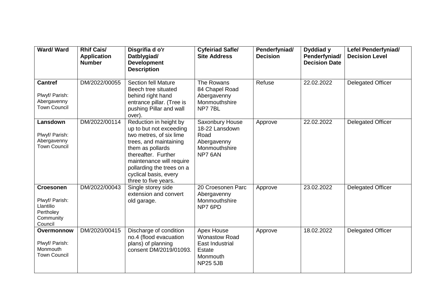| Ward/Ward                                                                            | <b>Rhif Cais/</b><br><b>Application</b><br><b>Number</b> | Disgrifia d o'r<br>Datblygiad/<br><b>Development</b><br><b>Description</b>                                                                                                                                                                                  | <b>Cyfeiriad Safle/</b><br><b>Site Address</b>                                                        | Penderfyniad/<br><b>Decision</b> | Dyddiad y<br>Penderfyniad/<br><b>Decision Date</b> | Lefel Penderfyniad/<br><b>Decision Level</b> |
|--------------------------------------------------------------------------------------|----------------------------------------------------------|-------------------------------------------------------------------------------------------------------------------------------------------------------------------------------------------------------------------------------------------------------------|-------------------------------------------------------------------------------------------------------|----------------------------------|----------------------------------------------------|----------------------------------------------|
| <b>Cantref</b><br>Plwyf/ Parish:<br>Abergavenny<br><b>Town Council</b>               | DM/2022/00055                                            | <b>Section fell Mature</b><br>Beech tree situated<br>behind right hand<br>entrance pillar. (Tree is<br>pushing Pillar and wall<br>over).                                                                                                                    | The Rowans<br>84 Chapel Road<br>Abergavenny<br>Monmouthshire<br>NP77BL                                | Refuse                           | 22.02.2022                                         | Delegated Officer                            |
| Lansdown<br>Plwyf/ Parish:<br>Abergavenny<br><b>Town Council</b>                     | DM/2022/00114                                            | Reduction in height by<br>up to but not exceeding<br>two metres, of six lime<br>trees, and maintaining<br>them as pollards<br>thereafter. Further<br>maintenance will require<br>pollarding the trees on a<br>cyclical basis, every<br>three to five years. | Saxonbury House<br>18-22 Lansdown<br>Road<br>Abergavenny<br>Monmouthshire<br>NP7 6AN                  | Approve                          | 22.02.2022                                         | <b>Delegated Officer</b>                     |
| <b>Croesonen</b><br>Plwyf/ Parish:<br>Llantilio<br>Pertholey<br>Community<br>Council | DM/2022/00043                                            | Single storey side<br>extension and convert<br>old garage.                                                                                                                                                                                                  | 20 Croesonen Parc<br>Abergavenny<br>Monmouthshire<br>NP7 6PD                                          | Approve                          | 23.02.2022                                         | <b>Delegated Officer</b>                     |
| Overmonnow<br>Plwyf/ Parish:<br>Monmouth<br><b>Town Council</b>                      | DM/2020/00415                                            | Discharge of condition<br>no.4 (flood evacuation<br>plans) of planning<br>consent DM/2019/01093.                                                                                                                                                            | Apex House<br><b>Wonastow Road</b><br><b>East Industrial</b><br>Estate<br>Monmouth<br><b>NP25 5JB</b> | Approve                          | 18.02.2022                                         | Delegated Officer                            |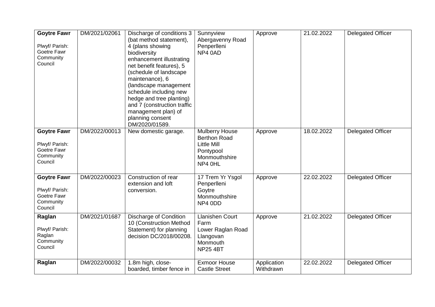| <b>Goytre Fawr</b><br>Plwyf/ Parish:<br>Goetre Fawr<br>Community<br>Council | DM/2021/02061 | Discharge of conditions 3<br>(bat method statement),<br>4 (plans showing<br>biodiversity<br>enhancement illustrating<br>net benefit features), 5<br>(schedule of landscape<br>maintenance), 6<br>(landscape management<br>schedule including new<br>hedge and tree planting)<br>and 7 (construction traffic<br>management plan) of<br>planning consent<br>DM/2020/01589. | Sunnyview<br>Abergavenny Road<br>Penperlleni<br>NP4 0AD                                              | Approve                  | 21.02.2022 | <b>Delegated Officer</b> |
|-----------------------------------------------------------------------------|---------------|--------------------------------------------------------------------------------------------------------------------------------------------------------------------------------------------------------------------------------------------------------------------------------------------------------------------------------------------------------------------------|------------------------------------------------------------------------------------------------------|--------------------------|------------|--------------------------|
| <b>Goytre Fawr</b><br>Plwyf/ Parish:<br>Goetre Fawr<br>Community<br>Council | DM/2022/00013 | New domestic garage.                                                                                                                                                                                                                                                                                                                                                     | Mulberry House<br><b>Berthon Road</b><br><b>Little Mill</b><br>Pontypool<br>Monmouthshire<br>NP4 0HL | Approve                  | 18.02.2022 | <b>Delegated Officer</b> |
| <b>Goytre Fawr</b><br>Plwyf/ Parish:<br>Goetre Fawr<br>Community<br>Council | DM/2022/00023 | Construction of rear<br>extension and loft<br>conversion.                                                                                                                                                                                                                                                                                                                | 17 Trem Yr Ysgol<br>Penperlleni<br>Goytre<br>Monmouthshire<br>NP4 0DD                                | Approve                  | 22.02.2022 | <b>Delegated Officer</b> |
| Raglan<br>Plwyf/ Parish:<br>Raglan<br>Community<br>Council                  | DM/2021/01687 | <b>Discharge of Condition</b><br>10 (Construction Method<br>Statement) for planning<br>decision DC/2018/00208.                                                                                                                                                                                                                                                           | Llanishen Court<br>Farm<br>Lower Raglan Road<br>Llangovan<br>Monmouth<br><b>NP25 4BT</b>             | Approve                  | 21.02.2022 | <b>Delegated Officer</b> |
| Raglan                                                                      | DM/2022/00032 | 1.8m high, close-<br>boarded, timber fence in                                                                                                                                                                                                                                                                                                                            | <b>Exmoor House</b><br><b>Castle Street</b>                                                          | Application<br>Withdrawn | 22.02.2022 | <b>Delegated Officer</b> |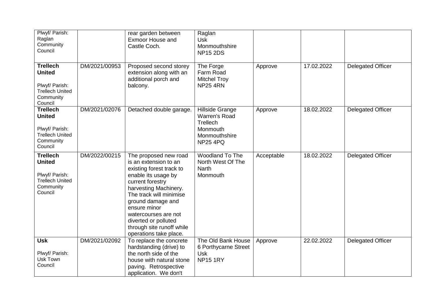| Plwyf/ Parish:<br>Raglan<br>Community<br>Council                                                     |               | rear garden between<br><b>Exmoor House and</b><br>Castle Coch.                                                                                                                                                                                                                                                        | Raglan<br><b>Usk</b><br>Monmouthshire<br><b>NP15 2DS</b>                                     |            |            |                          |
|------------------------------------------------------------------------------------------------------|---------------|-----------------------------------------------------------------------------------------------------------------------------------------------------------------------------------------------------------------------------------------------------------------------------------------------------------------------|----------------------------------------------------------------------------------------------|------------|------------|--------------------------|
| <b>Trellech</b><br><b>United</b><br>Plwyf/ Parish:<br><b>Trellech United</b><br>Community<br>Council | DM/2021/00953 | Proposed second storey<br>extension along with an<br>additional porch and<br>balcony.                                                                                                                                                                                                                                 | The Forge<br>Farm Road<br><b>Mitchel Troy</b><br><b>NP25 4RN</b>                             | Approve    | 17.02.2022 | <b>Delegated Officer</b> |
| <b>Trellech</b><br><b>United</b><br>Plwyf/ Parish:<br><b>Trellech United</b><br>Community<br>Council | DM/2021/02076 | Detached double garage.                                                                                                                                                                                                                                                                                               | Hillside Grange<br>Warren's Road<br>Trellech<br>Monmouth<br>Monmouthshire<br><b>NP25 4PQ</b> | Approve    | 18.02.2022 | <b>Delegated Officer</b> |
| <b>Trellech</b><br><b>United</b><br>Plwyf/ Parish:<br><b>Trellech United</b><br>Community<br>Council | DM/2022/00215 | The proposed new road<br>is an extension to an<br>existing forest track to<br>enable its usage by<br>current forestry<br>harvesting Machinery.<br>The track will minimise<br>ground damage and<br>ensure minor<br>watercourses are not<br>diverted or polluted<br>through site runoff while<br>operations take place. | Woodland To The<br>North West Of The<br><b>Narth</b><br>Monmouth                             | Acceptable | 18.02.2022 | <b>Delegated Officer</b> |
| <b>Usk</b><br>Plwyf/ Parish:<br>Usk Town<br>Council                                                  | DM/2021/02092 | To replace the concrete<br>hardstanding (drive) to<br>the north side of the<br>house with natural stone<br>paving. Retrospective<br>application. We don't                                                                                                                                                             | The Old Bank House<br>6 Porthycarne Street<br><b>Usk</b><br><b>NP15 1RY</b>                  | Approve    | 22.02.2022 | <b>Delegated Officer</b> |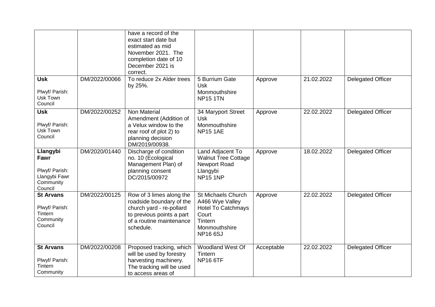|                                                                             |               | have a record of the<br>exact start date but<br>estimated as mid<br>November 2021. The<br>completion date of 10<br>December 2021 is<br>correct.        |                                                                                                                           |            |            |                          |
|-----------------------------------------------------------------------------|---------------|--------------------------------------------------------------------------------------------------------------------------------------------------------|---------------------------------------------------------------------------------------------------------------------------|------------|------------|--------------------------|
| <b>Usk</b><br>Plwyf/ Parish:<br>Usk Town<br>Council                         | DM/2022/00066 | To reduce 2x Alder trees<br>by 25%.                                                                                                                    | 5 Burrium Gate<br><b>Usk</b><br>Monmouthshire<br><b>NP15 1TN</b>                                                          | Approve    | 21.02.2022 | <b>Delegated Officer</b> |
| <b>Usk</b><br>Plwyf/ Parish:<br>Usk Town<br>Council                         | DM/2022/00252 | Non Material<br>Amendment (Addition of<br>a Velux window to the<br>rear roof of plot 2) to<br>planning decision<br>DM/2019/00938.                      | 34 Maryport Street<br><b>Usk</b><br>Monmouthshire<br><b>NP15 1AE</b>                                                      | Approve    | 22.02.2022 | <b>Delegated Officer</b> |
| Llangybi<br>Fawr<br>Plwyf/ Parish:<br>Llangybi Fawr<br>Community<br>Council | DM/2020/01440 | Discharge of condition<br>no. 10 (Ecological<br>Management Plan) of<br>planning consent<br>DC/2015/00972                                               | Land Adjacent To<br><b>Walnut Tree Cottage</b><br>Newport Road<br>Llangybi<br><b>NP15 1NP</b>                             | Approve    | 18.02.2022 | <b>Delegated Officer</b> |
| <b>St Arvans</b><br>Plwyf/ Parish:<br>Tintern<br>Community<br>Council       | DM/2022/00125 | Row of 3 limes along the<br>roadside boundary of the<br>church yard - re-pollard<br>to previous points a part<br>of a routine maintenance<br>schedule. | St Michaels Church<br>A466 Wye Valley<br><b>Hotel To Catchmays</b><br>Court<br>Tintern<br>Monmouthshire<br><b>NP166SJ</b> | Approve    | 22.02.2022 | <b>Delegated Officer</b> |
| <b>St Arvans</b><br>Plwyf/ Parish:<br>Tintern<br>Community                  | DM/2022/00208 | Proposed tracking, which<br>will be used by forestry<br>harvesting machinery.<br>The tracking will be used<br>to access areas of                       | Woodland West Of<br>Tintern<br><b>NP16 6TF</b>                                                                            | Acceptable | 22.02.2022 | <b>Delegated Officer</b> |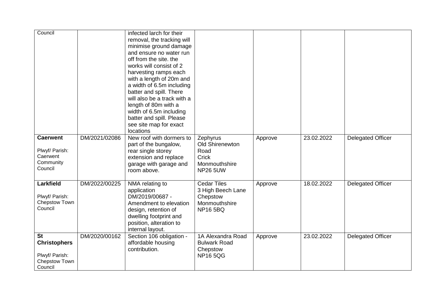| Council<br><b>Caerwent</b>                                                     | DM/2021/02086 | infected larch for their<br>removal, the tracking will<br>minimise ground damage<br>and ensure no water run<br>off from the site, the<br>works will consist of 2<br>harvesting ramps each<br>with a length of 20m and<br>a width of 6.5m including<br>batter and spill. There<br>will also be a track with a<br>length of 80m with a<br>width of 6.5m including<br>batter and spill. Please<br>see site map for exact<br>locations<br>New roof with dormers to | Zephyrus                                                                               |         | 23.02.2022 | <b>Delegated Officer</b> |
|--------------------------------------------------------------------------------|---------------|----------------------------------------------------------------------------------------------------------------------------------------------------------------------------------------------------------------------------------------------------------------------------------------------------------------------------------------------------------------------------------------------------------------------------------------------------------------|----------------------------------------------------------------------------------------|---------|------------|--------------------------|
| Plwyf/ Parish:<br>Caerwent<br>Community<br>Council                             |               | part of the bungalow,<br>rear single storey<br>extension and replace<br>garage with garage and<br>room above.                                                                                                                                                                                                                                                                                                                                                  | Old Shirenewton<br>Road<br>Crick<br>Monmouthshire<br><b>NP26 5UW</b>                   | Approve |            |                          |
| Larkfield<br>Plwyf/ Parish:<br>Chepstow Town<br>Council                        | DM/2022/00225 | NMA relating to<br>application<br>DM/2019/00687 -<br>Amendment to elevation<br>design, retention of<br>dwelling footprint and<br>position, alteration to<br>internal layout.                                                                                                                                                                                                                                                                                   | <b>Cedar Tiles</b><br>3 High Beech Lane<br>Chepstow<br>Monmouthshire<br><b>NP165BQ</b> | Approve | 18.02.2022 | <b>Delegated Officer</b> |
| <b>St</b><br><b>Christophers</b><br>Plwyf/ Parish:<br>Chepstow Town<br>Council | DM/2020/00162 | Section 106 obligation -<br>affordable housing<br>contribution.                                                                                                                                                                                                                                                                                                                                                                                                | 1A Alexandra Road<br><b>Bulwark Road</b><br>Chepstow<br><b>NP165QG</b>                 | Approve | 23.02.2022 | <b>Delegated Officer</b> |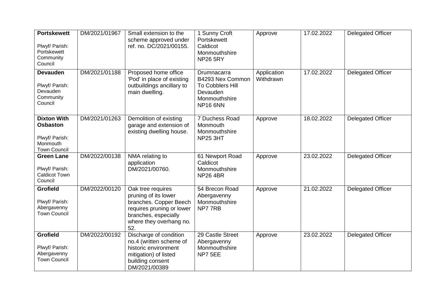| <b>Portskewett</b><br>Plwyf/ Parish:<br>Portskewett<br>Community<br>Council                | DM/2021/01967 | Small extension to the<br>scheme approved under<br>ref. no. DC/2021/00155.                                                                                 | 1 Sunny Croft<br>Portskewett<br>Caldicot<br>Monmouthshire<br><b>NP26 5RY</b>                        | Approve                  | 17.02.2022 | <b>Delegated Officer</b> |
|--------------------------------------------------------------------------------------------|---------------|------------------------------------------------------------------------------------------------------------------------------------------------------------|-----------------------------------------------------------------------------------------------------|--------------------------|------------|--------------------------|
| <b>Devauden</b><br>Plwyf/ Parish:<br>Devauden<br>Community<br>Council                      | DM/2021/01188 | Proposed home office<br>'Pod' in place of existing<br>outbuildings ancillary to<br>main dwelling.                                                          | Drumnacarra<br>B4293 Nex Common<br>To Cobblers Hill<br>Devauden<br>Monmouthshire<br><b>NP16 6NN</b> | Application<br>Withdrawn | 17.02.2022 | <b>Delegated Officer</b> |
| <b>Dixton With</b><br><b>Osbaston</b><br>Plwyf/ Parish:<br>Monmouth<br><b>Town Council</b> | DM/2021/01263 | Demolition of existing<br>garage and extension of<br>existing dwelling house.                                                                              | 7 Duchess Road<br>Monmouth<br>Monmouthshire<br><b>NP25 3HT</b>                                      | Approve                  | 18.02.2022 | <b>Delegated Officer</b> |
| <b>Green Lane</b><br>Plwyf/ Parish:<br><b>Caldicot Town</b><br>Council                     | DM/2022/00138 | NMA relating to<br>application<br>DM/2021/00760.                                                                                                           | 61 Newport Road<br>Caldicot<br>Monmouthshire<br><b>NP26 4BR</b>                                     | Approve                  | 23.02.2022 | Delegated Officer        |
| <b>Grofield</b><br>Plwyf/ Parish:<br>Abergavenny<br><b>Town Council</b>                    | DM/2022/00120 | Oak tree requires<br>pruning of its lower<br>branches. Copper Beech<br>requires pruning or lower<br>branches, especially<br>where they overhang no.<br>52. | 54 Brecon Road<br>Abergavenny<br>Monmouthshire<br>NP777RB                                           | Approve                  | 21.02.2022 | Delegated Officer        |
| <b>Grofield</b><br>Plwyf/ Parish:<br>Abergavenny<br><b>Town Council</b>                    | DM/2022/00192 | Discharge of condition<br>no.4 (written scheme of<br>historic environment<br>mitigation) of listed<br>building consent<br>DM/2021/00389                    | 29 Castle Street<br>Abergavenny<br>Monmouthshire<br>NP7 5EE                                         | Approve                  | 23.02.2022 | <b>Delegated Officer</b> |